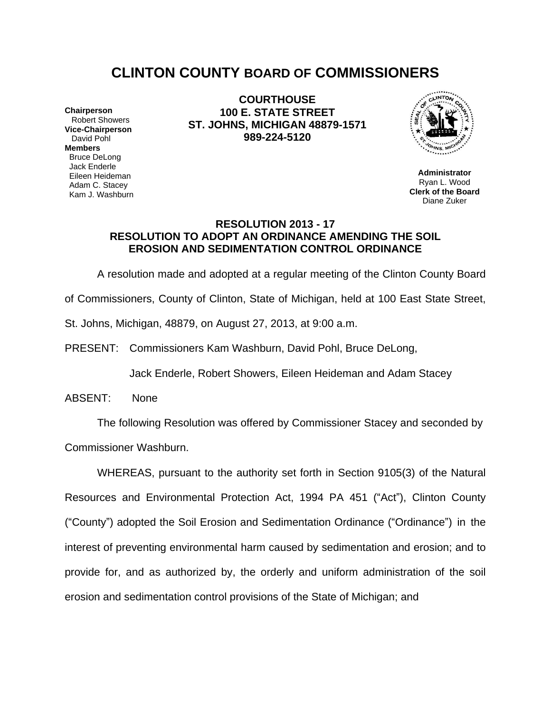# **CLINTON COUNTY BOARD OF COMMISSIONERS**

**Chairperson** Robert Showers **Vice-Chairperson** David Pohl **Members** Bruce DeLong Jack Enderle Eileen Heideman Adam C. Stacey Kam J. Washburn

**COURTHOUSE 100 E. STATE STREET ST. JOHNS, MICHIGAN 48879-1571 989-224-5120**



**Administrator** Ryan L. Wood **Clerk of the Board** Diane Zuker

## **RESOLUTION 2013 - 17 RESOLUTION TO ADOPT AN ORDINANCE AMENDING THE SOIL EROSION AND SEDIMENTATION CONTROL ORDINANCE**

A resolution made and adopted at a regular meeting of the Clinton County Board

of Commissioners, County of Clinton, State of Michigan, held at 100 East State Street,

St. Johns, Michigan, 48879, on August 27, 2013, at 9:00 a.m.

PRESENT: Commissioners Kam Washburn, David Pohl, Bruce DeLong,

Jack Enderle, Robert Showers, Eileen Heideman and Adam Stacey

ABSENT: None

The following Resolution was offered by Commissioner Stacey and seconded by

Commissioner Washburn.

WHEREAS, pursuant to the authority set forth in Section 9105(3) of the Natural Resources and Environmental Protection Act, 1994 PA 451 ("Act"), Clinton County ("County") adopted the Soil Erosion and Sedimentation Ordinance ("Ordinance") in the interest of preventing environmental harm caused by sedimentation and erosion; and to provide for, and as authorized by, the orderly and uniform administration of the soil erosion and sedimentation control provisions of the State of Michigan; and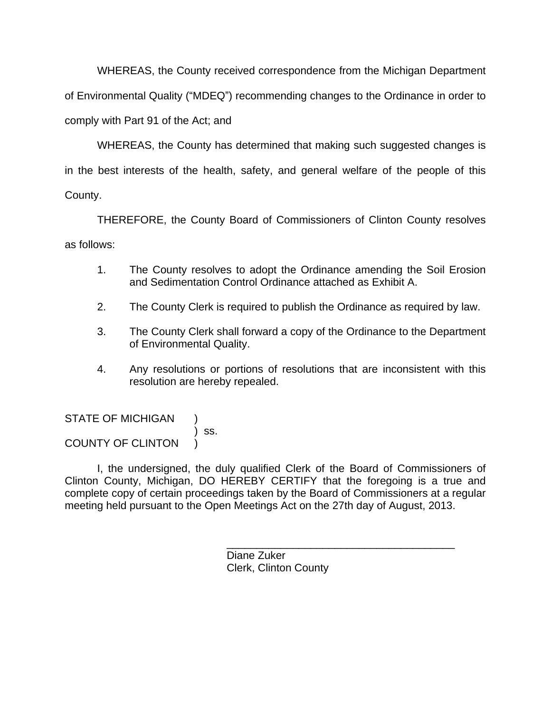WHEREAS, the County received correspondence from the Michigan Department of Environmental Quality ("MDEQ") recommending changes to the Ordinance in order to comply with Part 91 of the Act; and

WHEREAS, the County has determined that making such suggested changes is in the best interests of the health, safety, and general welfare of the people of this County.

THEREFORE, the County Board of Commissioners of Clinton County resolves as follows:

- 1. The County resolves to adopt the Ordinance amending the Soil Erosion and Sedimentation Control Ordinance attached as Exhibit A.
- 2. The County Clerk is required to publish the Ordinance as required by law.
- 3. The County Clerk shall forward a copy of the Ordinance to the Department of Environmental Quality.
- 4. Any resolutions or portions of resolutions that are inconsistent with this resolution are hereby repealed.

STATE OF MICHIGAN ) ss. COUNTY OF CLINTON )

I, the undersigned, the duly qualified Clerk of the Board of Commissioners of Clinton County, Michigan, DO HEREBY CERTIFY that the foregoing is a true and complete copy of certain proceedings taken by the Board of Commissioners at a regular meeting held pursuant to the Open Meetings Act on the 27th day of August, 2013.

> \_\_\_\_\_\_\_\_\_\_\_\_\_\_\_\_\_\_\_\_\_\_\_\_\_\_\_\_\_\_\_\_\_\_\_\_\_\_ Diane Zuker Clerk, Clinton County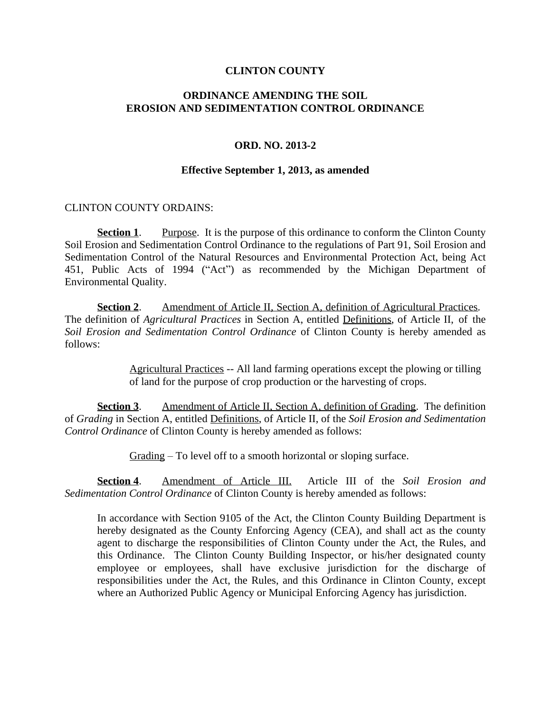### **CLINTON COUNTY**

# **ORDINANCE AMENDING THE SOIL EROSION AND SEDIMENTATION CONTROL ORDINANCE**

## **ORD. NO. 2013-2**

### **Effective September 1, 2013, as amended**

## CLINTON COUNTY ORDAINS:

**Section 1.** Purpose. It is the purpose of this ordinance to conform the Clinton County Soil Erosion and Sedimentation Control Ordinance to the regulations of Part 91, Soil Erosion and Sedimentation Control of the Natural Resources and Environmental Protection Act, being Act 451, Public Acts of 1994 ("Act") as recommended by the Michigan Department of Environmental Quality.

**Section 2.** Amendment of Article II, Section A, definition of Agricultural Practices. The definition of *Agricultural Practices* in Section A, entitled Definitions, of Article II, of the *Soil Erosion and Sedimentation Control Ordinance* of Clinton County is hereby amended as follows:

> Agricultural Practices -- All land farming operations except the plowing or tilling of land for the purpose of crop production or the harvesting of crops.

**Section 3**. Amendment of Article II, Section A, definition of Grading. The definition of *Grading* in Section A, entitled Definitions, of Article II, of the *Soil Erosion and Sedimentation Control Ordinance* of Clinton County is hereby amended as follows:

Grading – To level off to a smooth horizontal or sloping surface.

**Section 4**. Amendment of Article III. Article III of the *Soil Erosion and Sedimentation Control Ordinance* of Clinton County is hereby amended as follows:

In accordance with Section 9105 of the Act, the Clinton County Building Department is hereby designated as the County Enforcing Agency (CEA), and shall act as the county agent to discharge the responsibilities of Clinton County under the Act, the Rules, and this Ordinance. The Clinton County Building Inspector, or his/her designated county employee or employees, shall have exclusive jurisdiction for the discharge of responsibilities under the Act, the Rules, and this Ordinance in Clinton County, except where an Authorized Public Agency or Municipal Enforcing Agency has jurisdiction.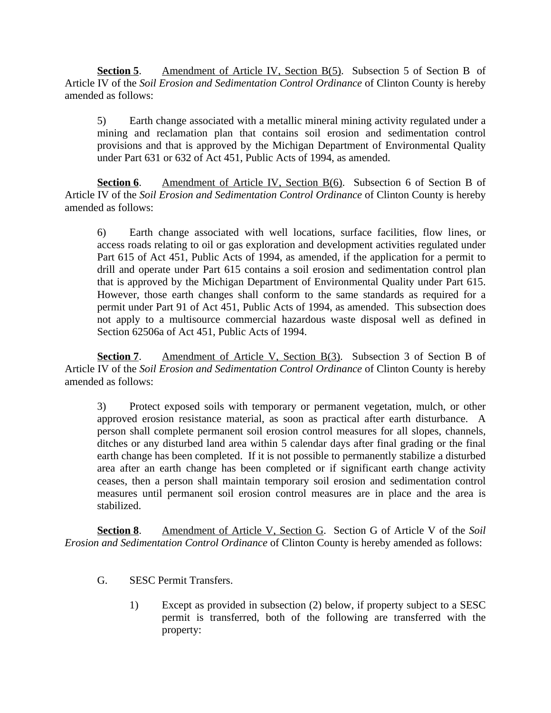**Section 5**. Amendment of Article IV, Section B(5). Subsection 5 of Section B of Article IV of the *Soil Erosion and Sedimentation Control Ordinance* of Clinton County is hereby amended as follows:

5) Earth change associated with a metallic mineral mining activity regulated under a mining and reclamation plan that contains soil erosion and sedimentation control provisions and that is approved by the Michigan Department of Environmental Quality under Part 631 or 632 of Act 451, Public Acts of 1994, as amended.

**Section 6.** Amendment of Article IV, Section B(6). Subsection 6 of Section B of Article IV of the *Soil Erosion and Sedimentation Control Ordinance* of Clinton County is hereby amended as follows:

6) Earth change associated with well locations, surface facilities, flow lines, or access roads relating to oil or gas exploration and development activities regulated under Part 615 of Act 451, Public Acts of 1994, as amended, if the application for a permit to drill and operate under Part 615 contains a soil erosion and sedimentation control plan that is approved by the Michigan Department of Environmental Quality under Part 615. However, those earth changes shall conform to the same standards as required for a permit under Part 91 of Act 451, Public Acts of 1994, as amended. This subsection does not apply to a multisource commercial hazardous waste disposal well as defined in Section 62506a of Act 451, Public Acts of 1994.

**Section 7.** Amendment of Article V, Section B(3). Subsection 3 of Section B of Article IV of the *Soil Erosion and Sedimentation Control Ordinance* of Clinton County is hereby amended as follows:

3) Protect exposed soils with temporary or permanent vegetation, mulch, or other approved erosion resistance material, as soon as practical after earth disturbance. A person shall complete permanent soil erosion control measures for all slopes, channels, ditches or any disturbed land area within 5 calendar days after final grading or the final earth change has been completed. If it is not possible to permanently stabilize a disturbed area after an earth change has been completed or if significant earth change activity ceases, then a person shall maintain temporary soil erosion and sedimentation control measures until permanent soil erosion control measures are in place and the area is stabilized.

**Section 8**. Amendment of Article V, Section G. Section G of Article V of the *Soil Erosion and Sedimentation Control Ordinance* of Clinton County is hereby amended as follows:

- G. SESC Permit Transfers.
	- 1) Except as provided in subsection (2) below, if property subject to a SESC permit is transferred, both of the following are transferred with the property: